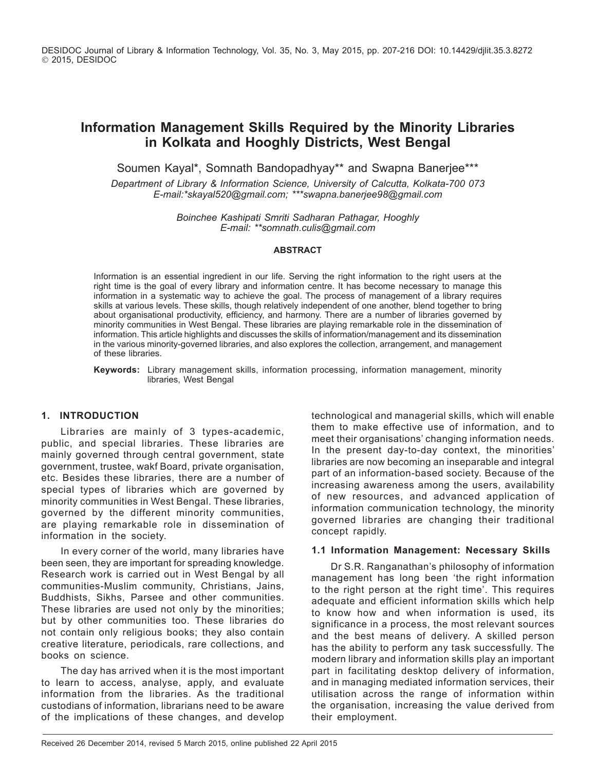DESIDOC Journal of Library & Information Technology, Vol. 35, No. 3, May 2015, pp. 207-216 DOI: 10.14429/djlit.35.3.8272 2015, DESIDOC

# **Information Management Skills Required by the Minority Libraries in Kolkata and Hooghly Districts, West Bengal**

Soumen Kayal\*, Somnath Bandopadhyay\*\* and Swapna Banerjee\*\*\*

*Department of Library & Information Science, University of Calcutta, Kolkata-700 073 E-mail:\*skayal520@gmail.com; \*\*\*swapna.banerjee98@gmail.com*

> *Boinchee Kashipati Smriti Sadharan Pathagar, Hooghly E-mail: \*\*somnath.culis@gmail.com*

#### **Abstract**

Information is an essential ingredient in our life. Serving the right information to the right users at the right time is the goal of every library and information centre. It has become necessary to manage this information in a systematic way to achieve the goal. The process of management of a library requires skills at various levels. These skills, though relatively independent of one another, blend together to bring about organisational productivity, efficiency, and harmony. There are a number of libraries governed by minority communities in West Bengal. These libraries are playing remarkable role in the dissemination of information. This article highlights and discusses the skills of information/management and its dissemination in the various minority-governed libraries, and also explores the collection, arrangement, and management of these libraries.

**Keywords:** Library management skills, information processing, information management, minority libraries, West Bengal

### **1. Introduction**

Libraries are mainly of 3 types-academic, public, and special libraries. These libraries are mainly governed through central government, state government, trustee, wakf Board, private organisation, etc. Besides these libraries, there are a number of special types of libraries which are governed by minority communities in West Bengal. These libraries, governed by the different minority communities, are playing remarkable role in dissemination of information in the society.

In every corner of the world, many libraries have been seen, they are important for spreading knowledge. Research work is carried out in West Bengal by all communities-Muslim community, Christians, Jains, Buddhists, Sikhs, Parsee and other communities. These libraries are used not only by the minorities; but by other communities too. These libraries do not contain only religious books; they also contain creative literature, periodicals, rare collections, and books on science.

The day has arrived when it is the most important to learn to access, analyse, apply, and evaluate information from the libraries. As the traditional custodians of information, librarians need to be aware of the implications of these changes, and develop

technological and managerial skills, which will enable them to make effective use of information, and to meet their organisations' changing information needs. In the present day-to-day context, the minorities' libraries are now becoming an inseparable and integral part of an information-based society. Because of the increasing awareness among the users, availability of new resources, and advanced application of information communication technology, the minority governed libraries are changing their traditional concept rapidly.

### **1.1 Information Management: Necessary Skills**

Dr S.R. Ranganathan's philosophy of information management has long been 'the right information to the right person at the right time'. This requires adequate and efficient information skills which help to know how and when information is used, its significance in a process, the most relevant sources and the best means of delivery. A skilled person has the ability to perform any task successfully. The modern library and information skills play an important part in facilitating desktop delivery of information, and in managing mediated information services, their utilisation across the range of information within the organisation, increasing the value derived from their employment.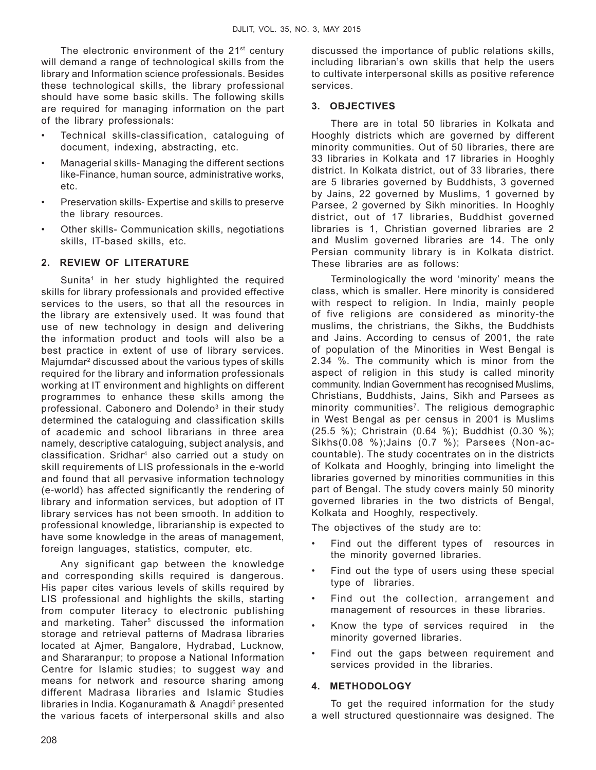The electronic environment of the  $21<sup>st</sup>$  century will demand a range of technological skills from the library and Information science professionals. Besides these technological skills, the library professional should have some basic skills. The following skills are required for managing information on the part of the library professionals:

- Technical skills-classification, cataloguing of document, indexing, abstracting, etc.
- Managerial skills- Managing the different sections like-Finance, human source, administrative works, etc.
- Preservation skills- Expertise and skills to preserve the library resources.
- Other skills- Communication skills, negotiations skills, IT-based skills, etc.

# **2. Review of literature**

Sunita<sup>1</sup> in her study highlighted the required skills for library professionals and provided effective services to the users, so that all the resources in the library are extensively used. It was found that use of new technology in design and delivering the information product and tools will also be a best practice in extent of use of library services. Majumdar2 discussed about the various types of skills required for the library and information professionals working at IT environment and highlights on different programmes to enhance these skills among the professional. Cabonero and Dolendo<sup>3</sup> in their study determined the cataloguing and classification skills of academic and school librarians in three area namely, descriptive cataloguing, subject analysis, and classification. Sridhar4 also carried out a study on skill requirements of LIS professionals in the e-world and found that all pervasive information technology (e-world) has affected significantly the rendering of library and information services, but adoption of IT library services has not been smooth. In addition to professional knowledge, librarianship is expected to have some knowledge in the areas of management, foreign languages, statistics, computer, etc.

Any significant gap between the knowledge and corresponding skills required is dangerous. His paper cites various levels of skills required by LIS professional and highlights the skills, starting from computer literacy to electronic publishing and marketing. Taher<sup>5</sup> discussed the information storage and retrieval patterns of Madrasa libraries located at Ajmer, Bangalore, Hydrabad, Lucknow, and Shararanpur; to propose a National Information Centre for Islamic studies; to suggest way and means for network and resource sharing among different Madrasa libraries and Islamic Studies libraries in India. Koganuramath & Anagdi<sup>6</sup> presented the various facets of interpersonal skills and also discussed the importance of public relations skills, including librarian's own skills that help the users to cultivate interpersonal skills as positive reference services.

## **3. Objectives**

There are in total 50 libraries in Kolkata and Hooghly districts which are governed by different minority communities. Out of 50 libraries, there are 33 libraries in Kolkata and 17 libraries in Hooghly district. In Kolkata district, out of 33 libraries, there are 5 libraries governed by Buddhists, 3 governed by Jains, 22 governed by Muslims, 1 governed by Parsee, 2 governed by Sikh minorities. In Hooghly district, out of 17 libraries, Buddhist governed libraries is 1, Christian governed libraries are 2 and Muslim governed libraries are 14. The only Persian community library is in Kolkata district. These libraries are as follows:

Terminologically the word 'minority' means the class, which is smaller. Here minority is considered with respect to religion. In India, mainly people of five religions are considered as minority-the muslims, the christrians, the Sikhs, the Buddhists and Jains. According to census of 2001, the rate of population of the Minorities in West Bengal is 2.34 %. The community which is minor from the aspect of religion in this study is called minority community. Indian Government has recognised Muslims, Christians, Buddhists, Jains, Sikh and Parsees as minority communities<sup>7</sup>. The religious demographic in West Bengal as per census in 2001 is Muslims (25.5 %); Christrain (0.64 %); Buddhist (0.30 %); Sikhs(0.08 %);Jains (0.7 %); Parsees (Non-accountable). The study cocentrates on in the districts of Kolkata and Hooghly, bringing into limelight the libraries governed by minorities communities in this part of Bengal. The study covers mainly 50 minority governed libraries in the two districts of Bengal, Kolkata and Hooghly, respectively.

The objectives of the study are to:

- Find out the different types of resources in the minority governed libraries.
- Find out the type of users using these special type of libraries.
- Find out the collection, arrangement and management of resources in these libraries.
- Know the type of services required in the minority governed libraries.
- Find out the gaps between requirement and services provided in the libraries.

# **4. Methodology**

To get the required information for the study a well structured questionnaire was designed. The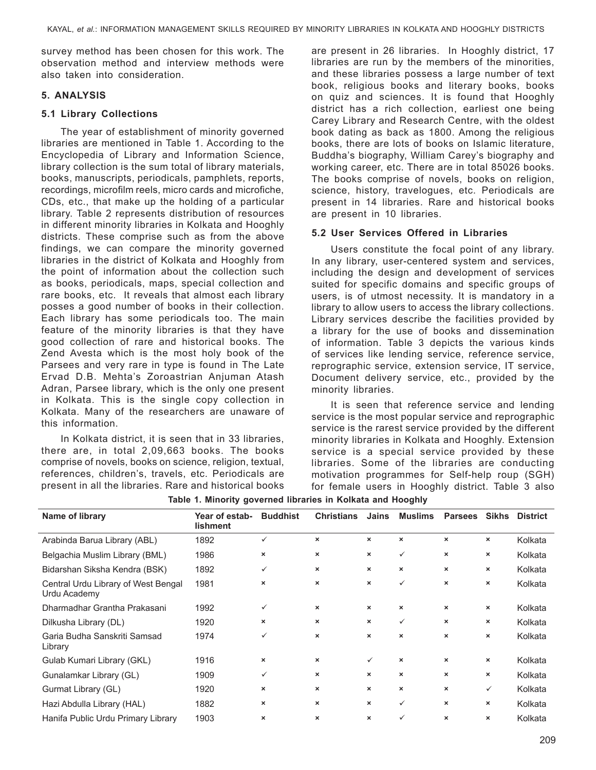survey method has been chosen for this work. The observation method and interview methods were also taken into consideration.

# **5. analysis**

# **5.1 Library Collections**

The year of establishment of minority governed libraries are mentioned in Table 1. According to the Encyclopedia of Library and Information Science, library collection is the sum total of library materials, books, manuscripts, periodicals, pamphlets, reports, recordings, microfilm reels, micro cards and microfiche, CDs, etc., that make up the holding of a particular library. Table 2 represents distribution of resources in different minority libraries in Kolkata and Hooghly districts. These comprise such as from the above findings, we can compare the minority governed libraries in the district of Kolkata and Hooghly from the point of information about the collection such as books, periodicals, maps, special collection and rare books, etc. It reveals that almost each library posses a good number of books in their collection. Each library has some periodicals too. The main feature of the minority libraries is that they have good collection of rare and historical books. The Zend Avesta which is the most holy book of the Parsees and very rare in type is found in The Late Ervad D.B. Mehta's Zoroastrian Anjuman Atash Adran, Parsee library, which is the only one present in Kolkata. This is the single copy collection in Kolkata. Many of the researchers are unaware of this information.

In Kolkata district, it is seen that in 33 libraries, there are, in total 2,09,663 books. The books comprise of novels, books on science, religion, textual, references, children's, travels, etc. Periodicals are present in all the libraries. Rare and historical books

are present in 26 libraries. In Hooghly district, 17 libraries are run by the members of the minorities, and these libraries possess a large number of text book, religious books and literary books, books on quiz and sciences. It is found that Hooghly district has a rich collection, earliest one being Carey Library and Research Centre, with the oldest book dating as back as 1800. Among the religious books, there are lots of books on Islamic literature, Buddha's biography, William Carey's biography and working career, etc. There are in total 85026 books. The books comprise of novels, books on religion, science, history, travelogues, etc. Periodicals are present in 14 libraries. Rare and historical books are present in 10 libraries.

# **5.2 User Services Offered in Libraries**

Users constitute the focal point of any library. In any library, user-centered system and services, including the design and development of services suited for specific domains and specific groups of users, is of utmost necessity. It is mandatory in a library to allow users to access the library collections. Library services describe the facilities provided by a library for the use of books and dissemination of information. Table 3 depicts the various kinds of services like lending service, reference service, reprographic service, extension service, IT service, Document delivery service, etc., provided by the minority libraries.

It is seen that reference service and lending service is the most popular service and reprographic service is the rarest service provided by the different minority libraries in Kolkata and Hooghly. Extension service is a special service provided by these libraries. Some of the libraries are conducting motivation programmes for Self-help roup (SGH) for female users in Hooghly district. Table 3 also

| Name of library                                     | Year of estab-<br><b>lishment</b> | <b>Buddhist</b>           | <b>Christians</b>         | Jains                     | <b>Muslims</b>            | <b>Parsees</b>            | <b>Sikhs</b>              | <b>District</b> |
|-----------------------------------------------------|-----------------------------------|---------------------------|---------------------------|---------------------------|---------------------------|---------------------------|---------------------------|-----------------|
| Arabinda Barua Library (ABL)                        | 1892                              | ✓                         | ×                         | $\boldsymbol{\mathsf{x}}$ | ×                         | $\boldsymbol{\times}$     | ×                         | Kolkata         |
| Belgachia Muslim Library (BML)                      | 1986                              | ×                         | $\boldsymbol{\mathsf{x}}$ | $\boldsymbol{\mathsf{x}}$ | $\checkmark$              | $\boldsymbol{\mathsf{x}}$ | ×                         | Kolkata         |
| Bidarshan Siksha Kendra (BSK)                       | 1892                              | ✓                         | ×                         | ×                         | ×                         | ×                         | ×                         | Kolkata         |
| Central Urdu Library of West Bengal<br>Urdu Academy | 1981                              | $\boldsymbol{\mathsf{x}}$ | $\boldsymbol{\mathsf{x}}$ | $\boldsymbol{\mathsf{x}}$ | ✓                         | $\boldsymbol{\mathsf{x}}$ | ×                         | Kolkata         |
| Dharmadhar Grantha Prakasani                        | 1992                              | ✓                         | $\boldsymbol{\times}$     | $\boldsymbol{\mathsf{x}}$ | $\boldsymbol{\times}$     | $\boldsymbol{\mathsf{x}}$ | $\boldsymbol{\mathsf{x}}$ | Kolkata         |
| Dilkusha Library (DL)                               | 1920                              | ×                         | ×                         | ×                         | $\checkmark$              | ×                         | ×                         | Kolkata         |
| Garia Budha Sanskriti Samsad<br>Library             | 1974                              | ✓                         | $\boldsymbol{\mathsf{x}}$ | $\boldsymbol{\mathsf{x}}$ | ×                         | $\boldsymbol{\mathsf{x}}$ | ×                         | Kolkata         |
| Gulab Kumari Library (GKL)                          | 1916                              | ×                         | $\boldsymbol{\mathsf{x}}$ | $\checkmark$              | $\boldsymbol{\times}$     | $\boldsymbol{\mathsf{x}}$ | ×                         | Kolkata         |
| Gunalamkar Library (GL)                             | 1909                              | ✓                         | ×                         | ×                         | $\boldsymbol{\mathsf{x}}$ | ×                         | ×                         | Kolkata         |
| Gurmat Library (GL)                                 | 1920                              | ×                         | $\boldsymbol{\mathsf{x}}$ | $\boldsymbol{\mathsf{x}}$ | ×                         | $\boldsymbol{\mathsf{x}}$ | ✓                         | Kolkata         |
| Hazi Abdulla Library (HAL)                          | 1882                              | ×                         | ×                         | ×                         | ✓                         | ×                         | ×                         | Kolkata         |
| Hanifa Public Urdu Primary Library                  | 1903                              | ×                         | $\boldsymbol{\mathsf{x}}$ | ×                         | $\checkmark$              | $\boldsymbol{\times}$     | ×                         | Kolkata         |

|  |  |  |  |  |  | Table 1. Minority governed libraries in Kolkata and Hooghly |  |
|--|--|--|--|--|--|-------------------------------------------------------------|--|
|--|--|--|--|--|--|-------------------------------------------------------------|--|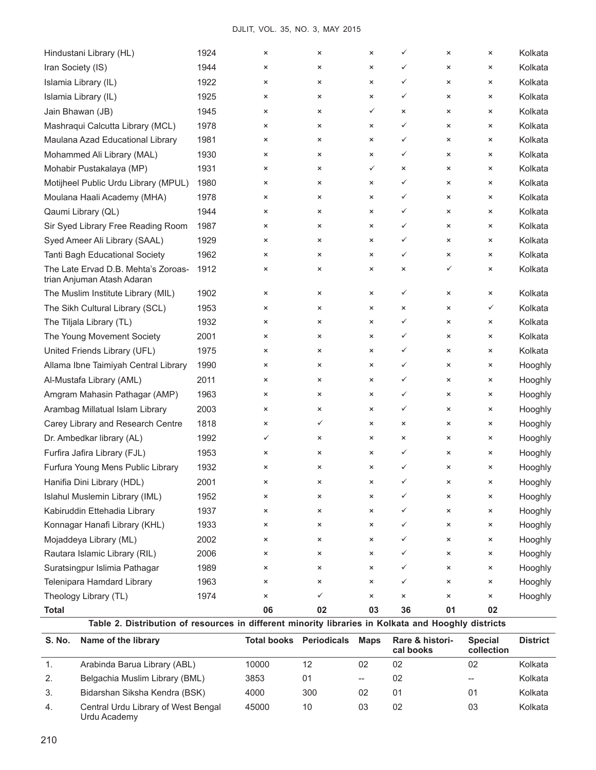| <b>S. No.</b><br>Name of the library                                                                                |              | <b>Total books Periodicals</b> |                | <b>Maps</b>          | Rare & histori-<br>cal books |                     | <b>Special</b><br>collection | <b>District</b>    |
|---------------------------------------------------------------------------------------------------------------------|--------------|--------------------------------|----------------|----------------------|------------------------------|---------------------|------------------------------|--------------------|
| <b>Total</b><br>Table 2. Distribution of resources in different minority libraries in Kolkata and Hooghly districts |              |                                |                |                      |                              |                     |                              |                    |
| Theology Library (TL)                                                                                               | 1974         | ×<br>06                        | ✓<br>02        | $\pmb{\times}$<br>03 | ×<br>36                      | ×<br>01             | ×<br>02                      | Hooghly            |
| Telenipara Hamdard Library                                                                                          | 1963         | ×                              | ×              | $\pmb{\times}$       | ✓                            | ×                   | ×                            | Hooghly            |
| Suratsingpur Islimia Pathagar                                                                                       | 1989         | ×                              | $\pmb{\times}$ | $\pmb{\times}$       | ✓                            | ×                   | ×                            | Hooghly            |
| Rautara Islamic Library (RIL)                                                                                       | 2006         | ×                              | ×              | $\pmb{\times}$       | ✓                            | ×                   | ×                            | Hooghly            |
| Mojaddeya Library (ML)                                                                                              | 2002         | ×                              | ×              | $\pmb{\times}$       | ✓                            | ×                   | ×                            | Hooghly            |
| Konnagar Hanafi Library (KHL)                                                                                       | 1933         | ×                              | ×              | $\pmb{\times}$       | ✓                            | ×                   | ×                            | Hooghly            |
| Kabiruddin Ettehadia Library                                                                                        | 1937         | ×                              | $\pmb{\times}$ | $\pmb{\times}$       | ✓                            | ×                   | ×                            | Hooghly            |
| Islahul Muslemin Library (IML)                                                                                      | 1952         | ×                              | ×              | ×                    | ✓                            | ×                   | ×                            | Hooghly            |
| Hanifia Dini Library (HDL)                                                                                          | 2001         |                                | ×              | ×                    |                              | ×                   |                              | Hooghly            |
| Furfura Young Mens Public Library                                                                                   | 1932         | ×                              | ×              | ×                    | ✓                            | ×                   | ×                            | Hooghly            |
| Furfira Jafira Library (FJL)                                                                                        | 1953         | ×                              | $\times$       | ×                    | ✓                            | ×                   | ×                            | Hooghly            |
| Dr. Ambedkar library (AL)                                                                                           | 1992         |                                | ×              | ×                    | ×                            | ×                   | ×                            | Hooghly            |
| Carey Library and Research Centre                                                                                   | 1818         | ×<br>✓                         | ✓              | ×                    | ×                            | ×                   | ×                            | Hooghly            |
| Arambag Millatual Islam Library                                                                                     | 2003         | ×                              | ×              | ×                    |                              | ×                   | ×                            | Hooghly            |
| Amgram Mahasin Pathagar (AMP)                                                                                       | 1963         | ×                              | ×              | ×                    | ✓<br>✓                       | ×                   | ×                            | Hooghly            |
| Al-Mustafa Library (AML)                                                                                            |              |                                |                |                      |                              |                     |                              | Hooghly            |
| Allama Ibne Taimiyah Central Library                                                                                | 1990<br>2011 | ×                              | ×<br>×         | ×                    | ✓                            | ×                   | ×                            | Hooghly            |
|                                                                                                                     |              | ×                              |                | ×                    | ✓                            | ×                   | ×                            |                    |
| United Friends Library (UFL)                                                                                        | 1975         | ×                              | ×              | ×                    | ✓                            | ×                   | ×                            | Kolkata            |
| The Tiljala Library (TL)<br>The Young Movement Society                                                              | 2001         | ×                              | ×              | ×                    | ✓                            | ×                   | ×                            | Kolkata            |
|                                                                                                                     | 1932         | ×                              | $\times$       | ×<br>×               | ×<br>✓                       | ×                   | ×                            | Kolkata            |
| The Muslim Institute Library (MIL)<br>The Sikh Cultural Library (SCL)                                               | 1902<br>1953 | ×<br>×                         | ×<br>$\times$  | ×                    | ✓                            | $\pmb{\times}$      | ×<br>✓                       | Kolkata<br>Kolkata |
| The Late Ervad D.B. Mehta's Zoroas-<br>trian Anjuman Atash Adaran                                                   | 1912         | ×                              | ×              | ×                    | ×                            | $\pmb{\times}$      | ×                            | Kolkata            |
| Tanti Bagh Educational Society                                                                                      | 1962         | ×                              | $\times$       | ×                    | ✓                            | ×<br>✓              | ×                            | Kolkata            |
|                                                                                                                     |              |                                | ×              |                      |                              |                     | ×                            |                    |
| Sir Syed Library Free Reading Room<br>Syed Ameer Ali Library (SAAL)                                                 | 1987<br>1929 | ×<br>×                         | $\times$       | $\pmb{\times}$<br>×  | ✓<br>✓                       | $\pmb{\times}$<br>× | ×                            | Kolkata<br>Kolkata |
| Qaumi Library (QL)                                                                                                  | 1944         | ×                              | ×              | ×                    | ✓                            | ×                   | ×                            | Kolkata            |
| Moulana Haali Academy (MHA)                                                                                         | 1978         | ×                              | ×              | ×                    | ✓                            | ×                   | ×                            | Kolkata            |
| Motijheel Public Urdu Library (MPUL)                                                                                | 1980         | ×                              | $\times$       | ×                    | ✓                            | ×                   | ×                            | Kolkata            |
| Mohabir Pustakalaya (MP)                                                                                            | 1931         | ×                              | $\times$       | $\checkmark$         | ×                            | ×                   | ×                            | Kolkata            |
| Mohammed Ali Library (MAL)                                                                                          | 1930         | ×                              | ×              | ×                    | ✓                            | ×                   | ×                            | Kolkata            |
| Maulana Azad Educational Library                                                                                    | 1981         | ×                              | ×              | ×                    | ✓                            | $\pmb{\times}$      | ×                            | Kolkata            |
| Mashraqui Calcutta Library (MCL)                                                                                    | 1978         | ×                              | $\times$       | ×                    | ✓                            | ×                   | ×                            | Kolkata            |
| Jain Bhawan (JB)                                                                                                    | 1945         | ×                              | ×              | ✓                    | $\times$                     | ×                   | ×                            | Kolkata            |
| Islamia Library (IL)                                                                                                | 1925         | ×                              | $\times$       | $\pmb{\times}$       | ✓                            | ×                   | ×                            | Kolkata            |
| Islamia Library (IL)                                                                                                | 1922         | ×                              | ×              | ×                    | ✓                            | ×                   | ×                            | Kolkata            |
| Iran Society (IS)                                                                                                   | 1944         | ×                              | $\times$       | ×                    | ✓                            | ×                   | ×                            | Kolkata            |
| Hindustani Library (HL)                                                                                             | 1924         | $\pmb{\times}$                 | $\times$       | ×                    | ✓                            | ×                   | ×                            | Kolkata            |
|                                                                                                                     |              |                                |                |                      |                              |                     |                              |                    |

|    |                                                     |       |     |                          | cal books | collection |         |
|----|-----------------------------------------------------|-------|-----|--------------------------|-----------|------------|---------|
| 1. | Arabinda Barua Library (ABL)                        | 10000 | 12  | 02                       | 02        | 02         | Kolkata |
| 2. | Belgachia Muslim Library (BML)                      | 3853  | 01  | $\overline{\phantom{a}}$ | 02        | $-$        | Kolkata |
| 3. | Bidarshan Siksha Kendra (BSK)                       | 4000  | 300 | 02                       | 01        | 01         | Kolkata |
| 4. | Central Urdu Library of West Bengal<br>Urdu Academy | 45000 | 10  | 03                       | 02        | 03         | Kolkata |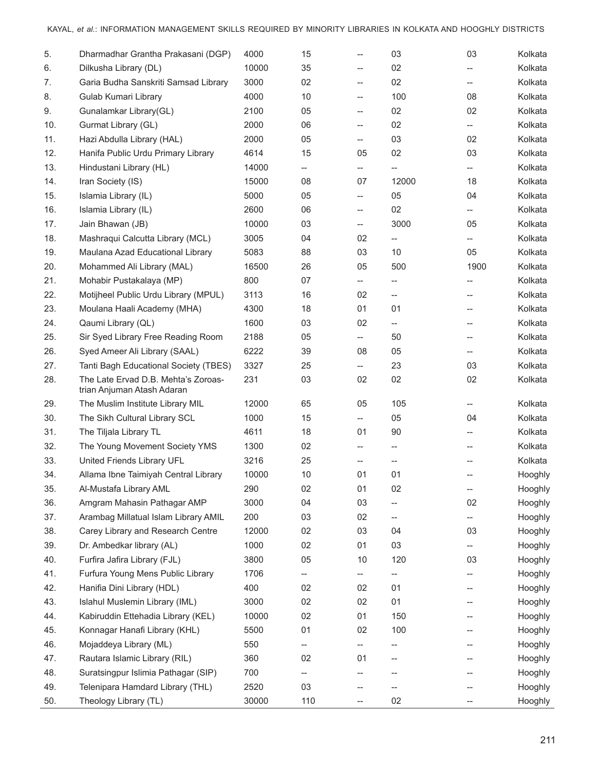| 5.  | Dharmadhar Grantha Prakasani (DGP)                                | 4000  | 15                       | --                                                  | 03                                                  | 03                       | Kolkata |
|-----|-------------------------------------------------------------------|-------|--------------------------|-----------------------------------------------------|-----------------------------------------------------|--------------------------|---------|
| 6.  | Dilkusha Library (DL)                                             | 10000 | 35                       | $- -$                                               | 02                                                  | $\overline{a}$           | Kolkata |
| 7.  | Garia Budha Sanskriti Samsad Library                              | 3000  | 02                       | $- -$                                               | 02                                                  | $-$                      | Kolkata |
| 8.  | Gulab Kumari Library                                              | 4000  | 10                       | $- -$                                               | 100                                                 | 08                       | Kolkata |
| 9.  | Gunalamkar Library(GL)                                            | 2100  | 05                       | $- -$                                               | 02                                                  | 02                       | Kolkata |
| 10. | Gurmat Library (GL)                                               | 2000  | 06                       | $\hspace{0.05cm} -\hspace{0.05cm} -\hspace{0.05cm}$ | 02                                                  | $\overline{\phantom{a}}$ | Kolkata |
| 11. | Hazi Abdulla Library (HAL)                                        | 2000  | 05                       | $-$                                                 | 03                                                  | 02                       | Kolkata |
| 12. | Hanifa Public Urdu Primary Library                                | 4614  | 15                       | 05                                                  | 02                                                  | 03                       | Kolkata |
| 13. | Hindustani Library (HL)                                           | 14000 | $\qquad \qquad -$        | $\overline{\phantom{a}}$                            | $\overline{\phantom{a}}$                            | $\overline{a}$           | Kolkata |
| 14. | Iran Society (IS)                                                 | 15000 | 08                       | 07                                                  | 12000                                               | 18                       | Kolkata |
| 15. | Islamia Library (IL)                                              | 5000  | 05                       | $\overline{\phantom{a}}$                            | 05                                                  | 04                       | Kolkata |
| 16. | Islamia Library (IL)                                              | 2600  | 06                       | $\hspace{0.05cm} -\hspace{0.05cm} -\hspace{0.05cm}$ | 02                                                  | $\overline{\phantom{a}}$ | Kolkata |
| 17. | Jain Bhawan (JB)                                                  | 10000 | 03                       | $\hspace{0.05cm} -\hspace{0.05cm}$                  | 3000                                                | 05                       | Kolkata |
| 18. | Mashraqui Calcutta Library (MCL)                                  | 3005  | 04                       | 02                                                  | $- -$                                               | $-$                      | Kolkata |
| 19. | Maulana Azad Educational Library                                  | 5083  | 88                       | 03                                                  | 10                                                  | 05                       | Kolkata |
| 20. | Mohammed Ali Library (MAL)                                        | 16500 | 26                       | 05                                                  | 500                                                 | 1900                     | Kolkata |
| 21. | Mohabir Pustakalaya (MP)                                          | 800   | 07                       | $\overline{\phantom{a}}$                            |                                                     |                          | Kolkata |
| 22. | Motijheel Public Urdu Library (MPUL)                              | 3113  | 16                       | 02                                                  | $- -$                                               | --                       | Kolkata |
| 23. | Moulana Haali Academy (MHA)                                       | 4300  | 18                       | 01                                                  | 01                                                  | --                       | Kolkata |
| 24. | Qaumi Library (QL)                                                | 1600  | 03                       | 02                                                  | $\hspace{0.05cm} -\hspace{0.05cm} -\hspace{0.05cm}$ | --                       | Kolkata |
| 25. | Sir Syed Library Free Reading Room                                | 2188  | 05                       | $\overline{\phantom{a}}$                            | 50                                                  | $-$                      | Kolkata |
| 26. | Syed Ameer Ali Library (SAAL)                                     | 6222  | 39                       | 08                                                  | 05                                                  | $\overline{\phantom{a}}$ | Kolkata |
| 27. | Tanti Bagh Educational Society (TBES)                             | 3327  | 25                       | $\overline{\phantom{a}}$                            | 23                                                  | 03                       | Kolkata |
| 28. | The Late Ervad D.B. Mehta's Zoroas-<br>trian Anjuman Atash Adaran | 231   | 03                       | 02                                                  | 02                                                  | 02                       | Kolkata |
| 29. | The Muslim Institute Library MIL                                  | 12000 | 65                       | 05                                                  | 105                                                 |                          | Kolkata |
| 30. | The Sikh Cultural Library SCL                                     | 1000  | 15                       | $\overline{\phantom{a}}$                            | 05                                                  | 04                       | Kolkata |
| 31. | The Tiljala Library TL                                            | 4611  | 18                       | 01                                                  | 90                                                  | --                       | Kolkata |
| 32. | The Young Movement Society YMS                                    | 1300  | 02                       | $\hspace{0.05cm} -\hspace{0.05cm} -\hspace{0.05cm}$ | $- -$                                               | --                       | Kolkata |
| 33. | United Friends Library UFL                                        | 3216  | 25                       | --                                                  | $- -$                                               |                          | Kolkata |
| 34. | Allama Ibne Taimiyah Central Library                              | 10000 | 10                       | 01                                                  | 01                                                  |                          | Hooghly |
| 35. | Al-Mustafa Library AML                                            | 290   | 02                       | 01                                                  | 02                                                  | --                       | Hooghly |
| 36. | Amgram Mahasin Pathagar AMP                                       | 3000  | 04                       | 03                                                  |                                                     | 02                       | Hooghly |
| 37. | Arambag Millatual Islam Library AMIL                              | 200   | 03                       | 02                                                  | $\qquad \qquad -$                                   | $-$                      | Hooghly |
| 38. | Carey Library and Research Centre                                 | 12000 | 02                       | 03                                                  | 04                                                  | 03                       | Hooghly |
| 39. | Dr. Ambedkar library (AL)                                         | 1000  | 02                       | 01                                                  | 03                                                  | $- -$                    | Hooghly |
| 40. | Furfira Jafira Library (FJL)                                      | 3800  | 05                       | 10                                                  | 120                                                 | 03                       | Hooghly |
| 41. | Furfura Young Mens Public Library                                 | 1706  |                          |                                                     |                                                     |                          | Hooghly |
| 42. | Hanifia Dini Library (HDL)                                        | 400   | 02                       | 02                                                  | 01                                                  | --                       | Hooghly |
| 43. | Islahul Muslemin Library (IML)                                    | 3000  | 02                       | 02                                                  | 01                                                  |                          | Hooghly |
| 44. | Kabiruddin Ettehadia Library (KEL)                                | 10000 | 02                       | 01                                                  | 150                                                 |                          | Hooghly |
| 45. | Konnagar Hanafi Library (KHL)                                     | 5500  | 01                       | 02                                                  | 100                                                 |                          | Hooghly |
| 46. | Mojaddeya Library (ML)                                            | 550   | $\overline{\phantom{a}}$ | --                                                  |                                                     |                          | Hooghly |
| 47. | Rautara Islamic Library (RIL)                                     | 360   | 02                       | 01                                                  | $\hspace{0.05cm} -\hspace{0.05cm} -\hspace{0.05cm}$ |                          | Hooghly |
| 48. | Suratsingpur Islimia Pathagar (SIP)                               | 700   | $- -$                    |                                                     |                                                     |                          | Hooghly |
| 49. | Telenipara Hamdard Library (THL)                                  | 2520  | 03                       |                                                     |                                                     |                          | Hooghly |
| 50. | Theology Library (TL)                                             | 30000 | 110                      | $\hspace{0.05cm} -\hspace{0.05cm} -\hspace{0.05cm}$ | 02                                                  |                          | Hooghly |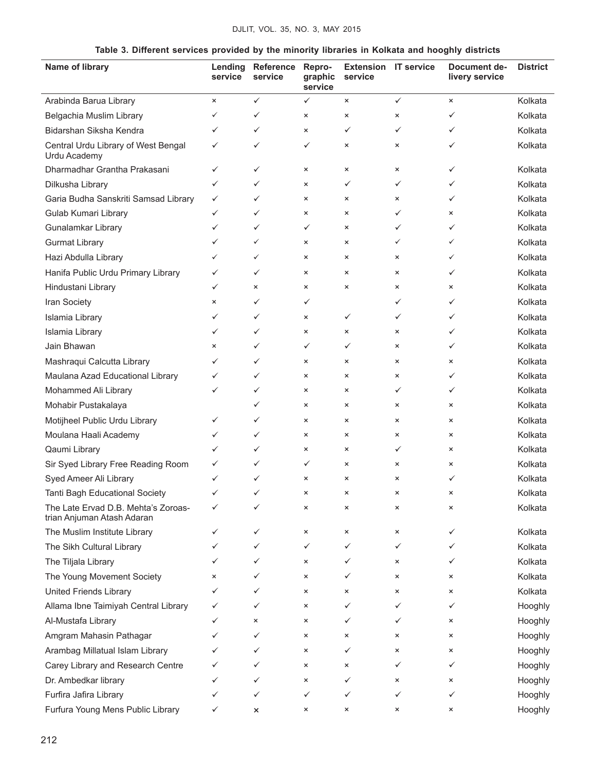|  |  |  | Table 3. Different services provided by the minority libraries in Kolkata and hooghly districts |  |  |
|--|--|--|-------------------------------------------------------------------------------------------------|--|--|
|--|--|--|-------------------------------------------------------------------------------------------------|--|--|

| Name of library                                                   | Lending<br>service | Reference<br>service | Repro-<br>graphic<br>service | <b>Extension IT service</b><br>service |              | Document de-<br>livery service | <b>District</b> |
|-------------------------------------------------------------------|--------------------|----------------------|------------------------------|----------------------------------------|--------------|--------------------------------|-----------------|
| Arabinda Barua Library                                            | $\times$           | $\checkmark$         | $\checkmark$                 | $\pmb{\times}$                         | $\checkmark$ | $\times$                       | Kolkata         |
| Belgachia Muslim Library                                          | ✓                  | ✓                    | ×                            | $\pmb{\times}$                         | ×            | ✓                              | Kolkata         |
| Bidarshan Siksha Kendra                                           | ✓                  | ✓                    | ×                            | ✓                                      | ✓            | ✓                              | Kolkata         |
| Central Urdu Library of West Bengal<br>Urdu Academy               | ✓                  | ✓                    | ✓                            | $\pmb{\times}$                         | $\times$     | ✓                              | Kolkata         |
| Dharmadhar Grantha Prakasani                                      | ✓                  | ✓                    | $\times$                     | $\pmb{\times}$                         | ×            | ✓                              | Kolkata         |
| Dilkusha Library                                                  | ✓                  | ✓                    | $\times$                     | ✓                                      | ✓            | ✓                              | Kolkata         |
| Garia Budha Sanskriti Samsad Library                              | ✓                  | ✓                    | $\times$                     | $\pmb{\times}$                         | ×            | ✓                              | Kolkata         |
| Gulab Kumari Library                                              | ✓                  | ✓                    | $\times$                     | $\pmb{\times}$                         | ✓            | ×                              | Kolkata         |
| Gunalamkar Library                                                | ✓                  | ✓                    | ✓                            | $\pmb{\times}$                         | ✓            | ✓                              | Kolkata         |
| <b>Gurmat Library</b>                                             | ✓                  | ✓                    | ×                            | $\times$                               | ✓            | ✓                              | Kolkata         |
| Hazi Abdulla Library                                              | ✓                  | ✓                    | ×                            | $\pmb{\times}$                         | ×            | ✓                              | Kolkata         |
| Hanifa Public Urdu Primary Library                                | ✓                  | ✓                    | $\times$                     | $\pmb{\times}$                         | $\times$     | $\checkmark$                   | Kolkata         |
| Hindustani Library                                                | ✓                  | $\times$             | ×                            | $\pmb{\times}$                         | $\times$     | $\times$                       | Kolkata         |
| Iran Society                                                      | ×                  | ✓                    | ✓                            |                                        | ✓            | ✓                              | Kolkata         |
| Islamia Library                                                   | ✓                  | ✓                    | ×                            | ✓                                      | ✓            | ✓                              | Kolkata         |
| Islamia Library                                                   | ✓                  | ✓                    | ×                            | $\pmb{\times}$                         | ×            | ✓                              | Kolkata         |
| Jain Bhawan                                                       | ×                  | ✓                    | ✓                            | ✓                                      | ×            | ✓                              | Kolkata         |
| Mashraqui Calcutta Library                                        | ✓                  | ✓                    | $\times$                     | $\pmb{\times}$                         | $\times$     | $\times$                       | Kolkata         |
| Maulana Azad Educational Library                                  | ✓                  | ✓                    | $\times$                     | $\times$                               | $\times$     | ✓                              | Kolkata         |
| Mohammed Ali Library                                              | ✓                  | ✓                    | $\times$                     | $\times$                               | ✓            | ✓                              | Kolkata         |
| Mohabir Pustakalaya                                               |                    | ✓                    | $\times$                     | $\times$                               | $\times$     | $\boldsymbol{\mathsf{x}}$      | Kolkata         |
| Motijheel Public Urdu Library                                     | ✓                  | ✓                    | $\times$                     | $\pmb{\times}$                         | ×            | ×                              | Kolkata         |
| Moulana Haali Academy                                             | ✓                  | ✓                    | $\times$                     | $\pmb{\times}$                         | ×            | ×                              | Kolkata         |
| Qaumi Library                                                     | ✓                  | ✓                    | $\times$                     | $\pmb{\times}$                         | ✓            | $\boldsymbol{\mathsf{x}}$      | Kolkata         |
| Sir Syed Library Free Reading Room                                | ✓                  | ✓                    | ✓                            | $\times$                               | ×            | ×                              | Kolkata         |
| Syed Ameer Ali Library                                            | ✓                  | ✓                    | ×                            | $\pmb{\times}$                         | ×            | ✓                              | Kolkata         |
| Tanti Bagh Educational Society                                    |                    |                      |                              |                                        |              |                                | Kolkata         |
| The Late Ervad D.B. Mehta's Zoroas-<br>trian Anjuman Atash Adaran |                    | ✓                    | ×                            | ×                                      | ×            | $\pmb{\times}$                 | Kolkata         |
| The Muslim Institute Library                                      | ✓                  | ✓                    | ×                            | $\pmb{\times}$                         | $\times$     | ✓                              | Kolkata         |
| The Sikh Cultural Library                                         | ✓                  | ✓                    | ✓                            | ✓                                      | ✓            | ✓                              | Kolkata         |
| The Tiljala Library                                               | ✓                  | ✓                    | ×                            | ✓                                      | ×            | ✓                              | Kolkata         |
| The Young Movement Society                                        | ×                  | ✓                    | $\times$                     | ✓                                      | ×            | ×                              | Kolkata         |
| <b>United Friends Library</b>                                     | ✓                  | ✓                    | $\times$                     | $\pmb{\times}$                         | ×            | ×                              | Kolkata         |
| Allama Ibne Taimiyah Central Library                              | ✓                  | ✓                    | ×                            | ✓                                      | ✓            | ✓                              | Hooghly         |
| Al-Mustafa Library                                                | ✓                  | ×                    | ×                            | ✓                                      | ✓            | $\times$                       | Hooghly         |
| Amgram Mahasin Pathagar                                           | ✓                  | ✓                    | ×                            | $\pmb{\times}$                         | ×            | ×                              | Hooghly         |
| Arambag Millatual Islam Library                                   | ✓                  | ✓                    | $\times$                     | ✓                                      | ×            | ×                              | Hooghly         |
| Carey Library and Research Centre                                 |                    | ✓                    | ×                            | $\pmb{\times}$                         | ✓            | ✓                              | Hooghly         |
| Dr. Ambedkar library                                              | ✓                  | ✓                    | ×                            | ✓                                      | ×            | ×                              | Hooghly         |
| Furfira Jafira Library                                            | ✓                  | ✓                    | ✓                            | ✓                                      | ✓            | ✓                              | Hooghly         |
| Furfura Young Mens Public Library                                 | ✓                  | ×                    | ×                            | $\pmb{\times}$                         | ×            | ×                              | Hooghly         |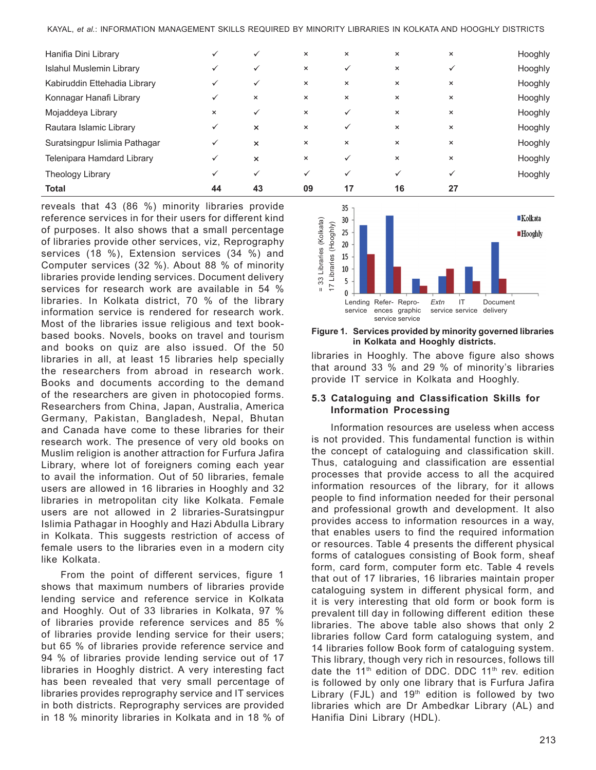| <b>Total</b>                  | 44       | 43                        | 09             | 17           | 16             | 27             |         |
|-------------------------------|----------|---------------------------|----------------|--------------|----------------|----------------|---------|
| Theology Library              |          | $\checkmark$              | ✓              | $\checkmark$ | ✓              | ✓              | Hooghly |
| Telenipara Hamdard Library    |          | $\boldsymbol{\mathsf{x}}$ | $\pmb{\times}$ | $\checkmark$ | $\pmb{\times}$ | ×              | Hooghly |
| Suratsingpur Islimia Pathagar | ✓        | $\times$                  | $\times$       | $\times$     | $\times$       | $\pmb{\times}$ | Hooghly |
| Rautara Islamic Library       | ✓        | $\times$                  | $\times$       | $\checkmark$ | $\times$       | $\times$       | Hooghly |
| Mojaddeya Library             | $\times$ | $\checkmark$              | $\pmb{\times}$ | $\checkmark$ | $\times$       | $\times$       | Hooghly |
| Konnagar Hanafi Library       |          | $\pmb{\times}$            | $\times$       | $\times$     | $\times$       | $\times$       | Hooghly |
| Kabiruddin Ettehadia Library  |          | $\checkmark$              | $\times$       | $\times$     | $\times$       | $\times$       | Hooghly |
| Islahul Muslemin Library      |          | $\checkmark$              | $\pmb{\times}$ | $\checkmark$ | $\times$       | ✓              | Hooghly |
| Hanifia Dini Library          |          | $\checkmark$              | $\times$       | $\times$     | $\times$       | ×              | Hooghly |

reveals that 43 (86 %) minority libraries provide reference services in for their users for different kind of purposes. It also shows that a small percentage of libraries provide other services, viz, Reprography services (18 %), Extension services (34 %) and Computer services (32 %). About 88 % of minority libraries provide lending services. Document delivery services for research work are available in 54 % libraries. In Kolkata district, 70 % of the library information service is rendered for research work. Most of the libraries issue religious and text bookbased books. Novels, books on travel and tourism and books on quiz are also issued. Of the 50 libraries in all, at least 15 libraries help specially the researchers from abroad in research work. Books and documents according to the demand of the researchers are given in photocopied forms. Researchers from China, Japan, Australia, America Germany, Pakistan, Bangladesh, Nepal, Bhutan and Canada have come to these libraries for their research work. The presence of very old books on Muslim religion is another attraction for Furfura Jafira Library, where lot of foreigners coming each year to avail the information. Out of 50 libraries, female users are allowed in 16 libraries in Hooghly and 32 libraries in metropolitan city like Kolkata. Female users are not allowed in 2 libraries-Suratsingpur Islimia Pathagar in Hooghly and Hazi Abdulla Library in Kolkata. This suggests restriction of access of female users to the libraries even in a modern city like Kolkata.

From the point of different services, figure 1 shows that maximum numbers of libraries provide lending service and reference service in Kolkata and Hooghly. Out of 33 libraries in Kolkata, 97 % of libraries provide reference services and 85 % of libraries provide lending service for their users; but 65 % of libraries provide reference service and 94 % of libraries provide lending service out of 17 libraries in Hooghly district. A very interesting fact has been revealed that very small percentage of libraries provides reprography service and IT services in both districts. Reprography services are provided in 18 % minority libraries in Kolkata and in 18 % of



#### **Figure 1. Services provided by minority governed libraries in Kolkata and Hooghly districts.**

libraries in Hooghly. The above figure also shows that around 33 % and 29 % of minority's libraries provide IT service in Kolkata and Hooghly.

### **5.3 Cataloguing and Classification Skills for Information Processing**

Information resources are useless when access is not provided. This fundamental function is within the concept of cataloguing and classification skill. Thus, cataloguing and classification are essential processes that provide access to all the acquired information resources of the library, for it allows people to find information needed for their personal and professional growth and development. It also provides access to information resources in a way, that enables users to find the required information or resources. Table 4 presents the different physical forms of catalogues consisting of Book form, sheaf form, card form, computer form etc. Table 4 revels that out of 17 libraries, 16 libraries maintain proper cataloguing system in different physical form, and it is very interesting that old form or book form is prevalent till day in following different edition these libraries. The above table also shows that only 2 libraries follow Card form cataloguing system, and 14 libraries follow Book form of cataloguing system. This library, though very rich in resources, follows till date the 11<sup>th</sup> edition of DDC. DDC 11<sup>th</sup> rev. edition is followed by only one library that is Furfura Jafira Library (FJL) and  $19<sup>th</sup>$  edition is followed by two libraries which are Dr Ambedkar Library (AL) and Hanifia Dini Library (HDL).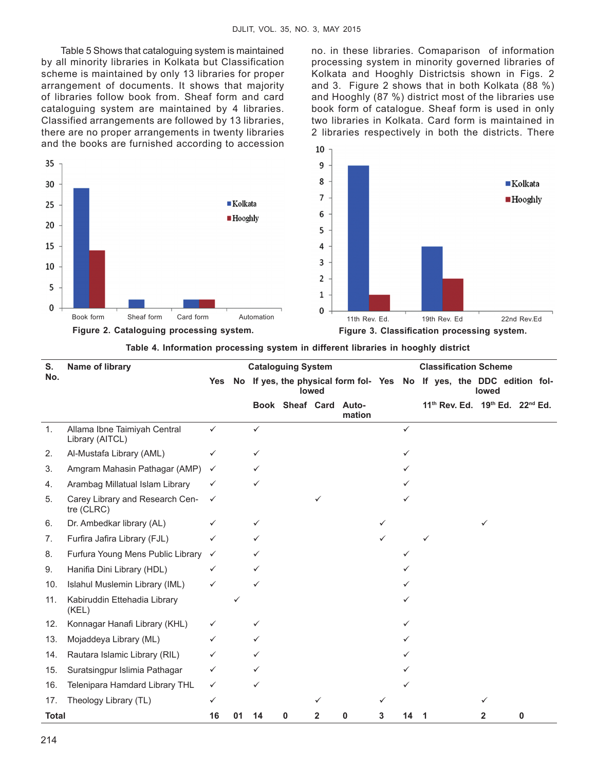Table 5 Shows that cataloguing system is maintained by all minority libraries in Kolkata but Classification scheme is maintained by only 13 libraries for proper arrangement of documents. It shows that majority of libraries follow book from. Sheaf form and card cataloguing system are maintained by 4 libraries. Classified arrangements are followed by 13 libraries, there are no proper arrangements in twenty libraries and the books are furnished according to accession no. in these libraries. Comaparison of information processing system in minority governed libraries of Kolkata and Hooghly Districtsis shown in Figs. 2 and 3. Figure 2 shows that in both Kolkata (88 %) and Hooghly (87 %) district most of the libraries use book form of catalogue. Sheaf form is used in only two libraries in Kolkata. Card form is maintained in 2 libraries respectively in both the districts. There



|  | Table 4. Information processing system in different libraries in hooghly district |  |  |
|--|-----------------------------------------------------------------------------------|--|--|
|--|-----------------------------------------------------------------------------------|--|--|

| S.<br>Name of library |                                                 |              | <b>Cataloguing System</b> |    |                 |       |                                                                       |   |              |   |  | <b>Classification Scheme</b>                                        |   |  |
|-----------------------|-------------------------------------------------|--------------|---------------------------|----|-----------------|-------|-----------------------------------------------------------------------|---|--------------|---|--|---------------------------------------------------------------------|---|--|
| No.                   |                                                 | Yes          |                           |    |                 | lowed | No If yes, the physical form fol- Yes No If yes, the DDC edition fol- |   |              |   |  | lowed                                                               |   |  |
|                       |                                                 |              |                           |    | Book Sheaf Card |       | Auto-<br>mation                                                       |   |              |   |  | 11 <sup>th</sup> Rev. Ed. 19 <sup>th</sup> Ed. 22 <sup>nd</sup> Ed. |   |  |
| $\mathbf{1}$ .        | Allama Ibne Taimiyah Central<br>Library (AITCL) | ✓            |                           | ✓  |                 |       |                                                                       |   | $\checkmark$ |   |  |                                                                     |   |  |
| 2.                    | Al-Mustafa Library (AML)                        | ✓            |                           | ✓  |                 |       |                                                                       |   | ✓            |   |  |                                                                     |   |  |
| 3.                    | Amgram Mahasin Pathagar (AMP)                   | ✓            |                           | ✓  |                 |       |                                                                       |   |              |   |  |                                                                     |   |  |
| 4.                    | Arambag Millatual Islam Library                 |              |                           |    |                 |       |                                                                       |   |              |   |  |                                                                     |   |  |
| 5.                    | Carey Library and Research Cen-<br>tre (CLRC)   | ✓            |                           |    |                 |       |                                                                       |   |              |   |  |                                                                     |   |  |
| 6.                    | Dr. Ambedkar library (AL)                       | ✓            |                           |    |                 |       |                                                                       |   |              |   |  |                                                                     |   |  |
| 7.                    | Furfira Jafira Library (FJL)                    |              |                           |    |                 |       |                                                                       |   |              |   |  |                                                                     |   |  |
| 8.                    | Furfura Young Mens Public Library               | $\checkmark$ |                           |    |                 |       |                                                                       |   |              |   |  |                                                                     |   |  |
| 9.                    | Hanifia Dini Library (HDL)                      | ✓            |                           | ✓  |                 |       |                                                                       |   |              |   |  |                                                                     |   |  |
| 10.                   | Islahul Muslemin Library (IML)                  | ✓            |                           | ✓  |                 |       |                                                                       |   |              |   |  |                                                                     |   |  |
| 11.                   | Kabiruddin Ettehadia Library<br>(KEL)           |              |                           |    |                 |       |                                                                       |   |              |   |  |                                                                     |   |  |
| 12.                   | Konnagar Hanafi Library (KHL)                   | ✓            |                           | ✓  |                 |       |                                                                       |   |              |   |  |                                                                     |   |  |
| 13.                   | Mojaddeya Library (ML)                          |              |                           |    |                 |       |                                                                       |   |              |   |  |                                                                     |   |  |
| 14.                   | Rautara Islamic Library (RIL)                   | ✓            |                           | ✓  |                 |       |                                                                       |   |              |   |  |                                                                     |   |  |
| 15.                   | Suratsingpur Islimia Pathagar                   | ✓            |                           |    |                 |       |                                                                       |   |              |   |  |                                                                     |   |  |
| 16.                   | Telenipara Hamdard Library THL                  | ✓            |                           |    |                 |       |                                                                       |   |              |   |  |                                                                     |   |  |
| 17.                   | Theology Library (TL)                           | ✓            |                           |    |                 |       |                                                                       |   |              |   |  |                                                                     |   |  |
| <b>Total</b>          |                                                 | 16           | 01                        | 14 | 0               | 2     | 0                                                                     | 3 | 14           | 1 |  | 2                                                                   | 0 |  |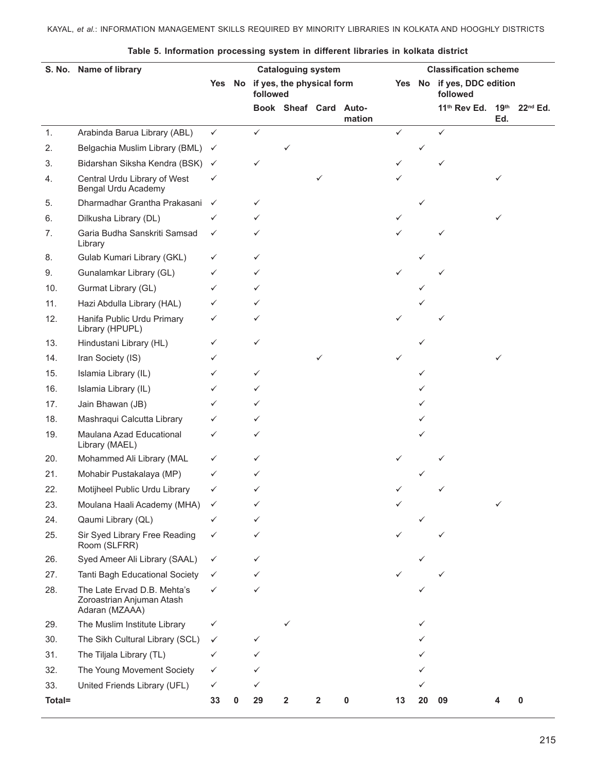### KAYAL, *et al.*: INFORMATION MANAGEMENT SKILLS REQUIRED BY MINORITY LIBRARIES IN KOLKATA AND HOOGHLY DISTRICTS

|               | S. No. Name of library<br><b>Cataloguing system</b>                        |              | <b>Classification scheme</b> |              |                           |   |        |                                        |    |                          |                         |               |
|---------------|----------------------------------------------------------------------------|--------------|------------------------------|--------------|---------------------------|---|--------|----------------------------------------|----|--------------------------|-------------------------|---------------|
|               |                                                                            | Yes No       |                              | followed     | if yes, the physical form |   |        | Yes No if yes, DDC edition<br>followed |    |                          |                         |               |
|               |                                                                            |              |                              |              | Book Sheaf Card Auto-     |   | mation |                                        |    | 11 <sup>th</sup> Rev Ed. | 19 <sup>th</sup><br>Ed. | $22^{nd}$ Ed. |
| $\mathbf 1$ . | Arabinda Barua Library (ABL)                                               | $\checkmark$ |                              | $\checkmark$ |                           |   |        | ✓                                      |    | ✓                        |                         |               |
| 2.            | Belgachia Muslim Library (BML)                                             | $\checkmark$ |                              |              |                           |   |        |                                        |    |                          |                         |               |
| 3.            | Bidarshan Siksha Kendra (BSK)                                              | $\checkmark$ |                              | ✓            |                           |   |        |                                        |    |                          |                         |               |
| 4.            | Central Urdu Library of West<br>Bengal Urdu Academy                        | ✓            |                              |              |                           |   |        |                                        |    |                          | ✓                       |               |
| 5.            | Dharmadhar Grantha Prakasani                                               | $\checkmark$ |                              | ✓            |                           |   |        |                                        | ✓  |                          |                         |               |
| 6.            | Dilkusha Library (DL)                                                      | ✓            |                              | ✓            |                           |   |        | ✓                                      |    |                          |                         |               |
| 7.            | Garia Budha Sanskriti Samsad<br>Library                                    | ✓            |                              |              |                           |   |        |                                        |    |                          |                         |               |
| 8.            | Gulab Kumari Library (GKL)                                                 | ✓            |                              | ✓            |                           |   |        |                                        |    |                          |                         |               |
| 9.            | Gunalamkar Library (GL)                                                    | ✓            |                              | ✓            |                           |   |        |                                        |    |                          |                         |               |
| 10.           | Gurmat Library (GL)                                                        | ✓            |                              | ✓            |                           |   |        |                                        |    |                          |                         |               |
| 11.           | Hazi Abdulla Library (HAL)                                                 | ✓            |                              | ✓            |                           |   |        |                                        |    |                          |                         |               |
| 12.           | Hanifa Public Urdu Primary<br>Library (HPUPL)                              | ✓            |                              | ✓            |                           |   |        |                                        |    |                          |                         |               |
| 13.           | Hindustani Library (HL)                                                    | ✓            |                              | $\checkmark$ |                           |   |        |                                        |    |                          |                         |               |
| 14.           | Iran Society (IS)                                                          | ✓            |                              |              |                           | ✓ |        | ✓                                      |    |                          | ✓                       |               |
| 15.           | Islamia Library (IL)                                                       | ✓            |                              | ✓            |                           |   |        |                                        |    |                          |                         |               |
| 16.           | Islamia Library (IL)                                                       | ✓            |                              | ✓            |                           |   |        |                                        |    |                          |                         |               |
| 17.           | Jain Bhawan (JB)                                                           | ✓            |                              | ✓            |                           |   |        |                                        |    |                          |                         |               |
| 18.           | Mashraqui Calcutta Library                                                 | ✓            |                              | ✓            |                           |   |        |                                        |    |                          |                         |               |
| 19.           | Maulana Azad Educational<br>Library (MAEL)                                 | ✓            |                              | ✓            |                           |   |        |                                        |    |                          |                         |               |
| 20.           | Mohammed Ali Library (MAL                                                  | ✓            |                              | ✓            |                           |   |        |                                        |    |                          |                         |               |
| 21.           | Mohabir Pustakalaya (MP)                                                   | ✓            |                              | ✓            |                           |   |        |                                        |    |                          |                         |               |
| 22.           | Motijheel Public Urdu Library                                              | ✓            |                              |              |                           |   |        |                                        |    |                          |                         |               |
| 23.           | Moulana Haali Academy (MHA)                                                |              |                              |              |                           |   |        |                                        |    |                          |                         |               |
| 24.           | Qaumi Library (QL)                                                         | ✓            |                              | ✓            |                           |   |        |                                        |    |                          |                         |               |
| 25.           | Sir Syed Library Free Reading<br>Room (SLFRR)                              | ✓            |                              | ✓            |                           |   |        |                                        |    |                          |                         |               |
| 26.           | Syed Ameer Ali Library (SAAL)                                              | ✓            |                              | ✓            |                           |   |        |                                        |    |                          |                         |               |
| 27.           | Tanti Bagh Educational Society                                             | ✓            |                              |              |                           |   |        |                                        |    |                          |                         |               |
| 28.           | The Late Ervad D.B. Mehta's<br>Zoroastrian Anjuman Atash<br>Adaran (MZAAA) | ✓            |                              | ✓            |                           |   |        |                                        |    |                          |                         |               |
| 29.           | The Muslim Institute Library                                               | ✓            |                              |              |                           |   |        |                                        |    |                          |                         |               |
| 30.           | The Sikh Cultural Library (SCL)                                            | ✓            |                              | ✓            |                           |   |        |                                        |    |                          |                         |               |
| 31.           | The Tiljala Library (TL)                                                   | ✓            |                              | ✓            |                           |   |        |                                        |    |                          |                         |               |
| 32.           | The Young Movement Society                                                 | ✓            |                              | ✓            |                           |   |        |                                        |    |                          |                         |               |
| 33.           | United Friends Library (UFL)                                               | ✓            |                              | ✓            |                           |   |        |                                        |    |                          |                         |               |
| Total=        |                                                                            | 33           | 0                            | 29           | $\mathbf{2}$              | 2 | 0      | 13                                     | 20 | 09                       |                         | 0             |

### **Table 5. Information processing system in different libraries in kolkata district**